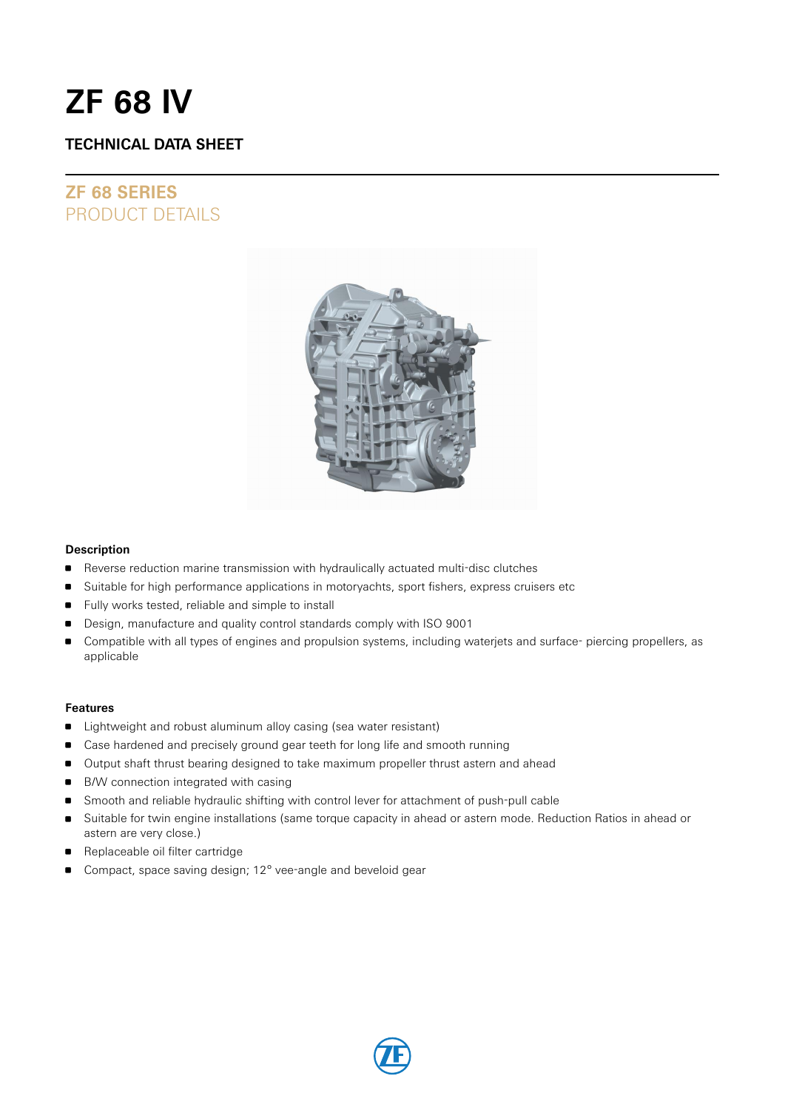# **ZF 68 IV**

### **TECHNICAL DATA SHEET**

## **ZF 68 SERIES** PRODUCT DETAILS



### **Description**

- **Reverse reduction marine transmission with hydraulically actuated multi-disc clutches**
- **Suitable for high performance applications in motoryachts, sport fishers, express cruisers etc**
- Fully works tested, reliable and simple to install
- Design, manufacture and quality control standards comply with ISO 9001
- Compatible with all types of engines and propulsion systems, including waterjets and surface- piercing propellers, as applicable

### **Features**

- **I** Lightweight and robust aluminum alloy casing (sea water resistant)
- Case hardened and precisely ground gear teeth for long life and smooth running
- **Output shaft thrust bearing designed to take maximum propeller thrust astern and ahead**
- B/W connection integrated with casing
- Smooth and reliable hydraulic shifting with control lever for attachment of push-pull cable
- Suitable for twin engine installations (same torque capacity in ahead or astern mode. Reduction Ratios in ahead or astern are very close.)
- Replaceable oil filter cartridge
- Compact, space saving design; 12° vee-angle and beveloid gear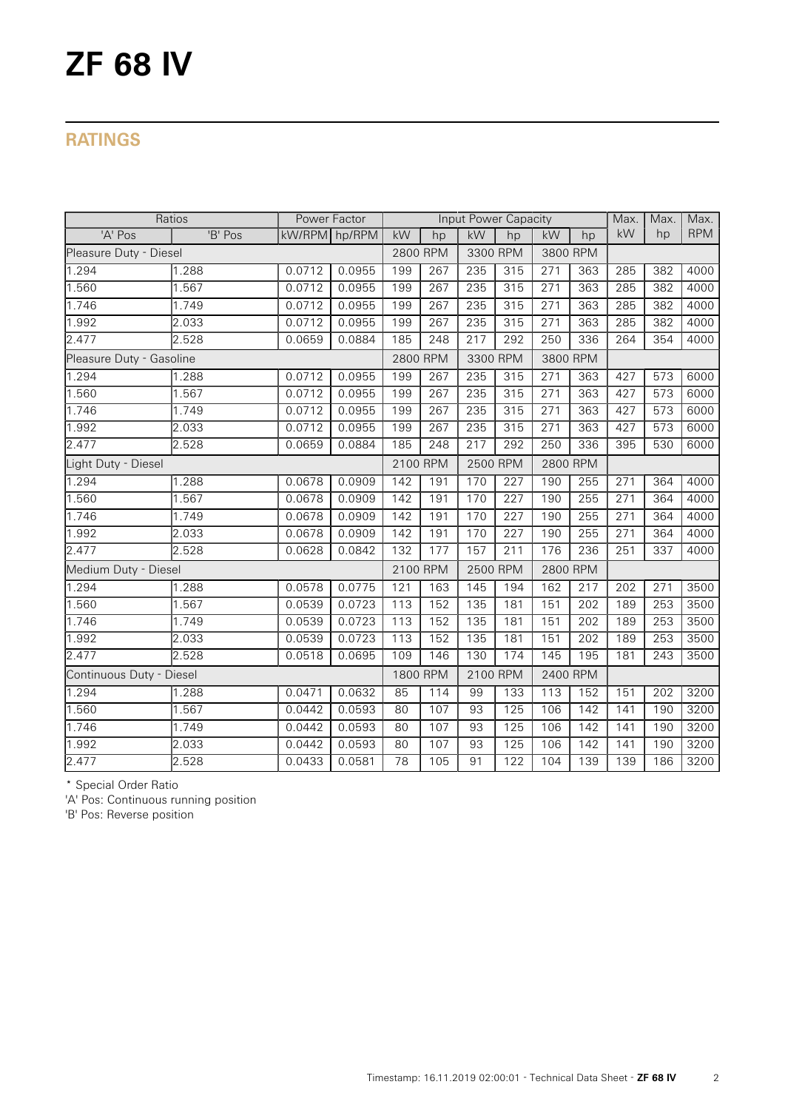# **ZF 68 IV**

## **RATINGS**

| Ratios                   |         | Power Factor  |        | Input Power Capacity |                  |                      |                  |          | Max.     | Max.             | Max.             |            |
|--------------------------|---------|---------------|--------|----------------------|------------------|----------------------|------------------|----------|----------|------------------|------------------|------------|
| 'A' Pos                  | 'B' Pos | kW/RPM hp/RPM |        | kW                   | hp               | kW                   | hp               | kW       | hp       | kW               | hp               | <b>RPM</b> |
| Pleasure Duty - Diesel   |         |               |        | 2800 RPM             |                  | 3300 RPM             |                  | 3800 RPM |          |                  |                  |            |
| 1.294                    | 1.288   | 0.0712        | 0.0955 | 199                  | 267              | 235                  | 315              | 271      | 363      | 285              | 382              | 4000       |
| 1.560                    | 1.567   | 0.0712        | 0.0955 | 199                  | 267              | 235                  | 315              | 271      | 363      | 285              | 382              | 4000       |
| 1.746                    | 1.749   | 0.0712        | 0.0955 | 199                  | 267              | 235                  | 315              | 271      | 363      | 285              | 382              | 4000       |
| 1.992                    | 2.033   | 0.0712        | 0.0955 | 199                  | 267              | 235                  | 315              | 271      | 363      | 285              | 382              | 4000       |
| 2.477                    | 2.528   | 0.0659        | 0.0884 | 185                  | $\sqrt{248}$     | 217                  | 292              | 250      | 336      | 264              | 354              | 4000       |
| Pleasure Duty - Gasoline |         |               |        | 2800 RPM             |                  | 3300 RPM             |                  |          | 3800 RPM |                  |                  |            |
| 1.294                    | 1.288   | 0.0712        | 0.0955 | 199                  | 267              | 235                  | 315              | 271      | 363      | 427              | 573              | 6000       |
| 1.560                    | 1.567   | 0.0712        | 0.0955 | 199                  | $\overline{267}$ | 235                  | 315              | 271      | 363      | 427              | $\overline{573}$ | 6000       |
| 1.746                    | 1.749   | 0.0712        | 0.0955 | 199                  | 267              | 235                  | 315              | 271      | 363      | 427              | 573              | 6000       |
| 1.992                    | 2.033   | 0.0712        | 0.0955 | 199                  | 267              | 235                  | 315              | 271      | 363      | 427              | 573              | 6000       |
| 2.477                    | 2.528   | 0.0659        | 0.0884 | 185                  | 248              | 217                  | 292              | 250      | 336      | 395              | 530              | 6000       |
| Light Duty - Diesel      |         |               |        | 2100 RPM             |                  | 2800 RPM<br>2500 RPM |                  |          |          |                  |                  |            |
| 1.294                    | 1.288   | 0.0678        | 0.0909 | 142                  | 191              | 170                  | 227              | 190      | 255      | 271              | 364              | 4000       |
| 1.560                    | 1.567   | 0.0678        | 0.0909 | 142                  | 191              | 170                  | $\overline{227}$ | 190      | 255      | $\overline{271}$ | 364              | 4000       |
| 1.746                    | 1.749   | 0.0678        | 0.0909 | 142                  | 191              | 170                  | 227              | 190      | 255      | 271              | 364              | 4000       |
| 1.992                    | 2.033   | 0.0678        | 0.0909 | 142                  | 191              | 170                  | $\overline{227}$ | 190      | 255      | $\overline{271}$ | 364              | 4000       |
| 2.477                    | 2.528   | 0.0628        | 0.0842 | 132                  | 177              | 157                  | $\overline{211}$ | 176      | 236      | $\overline{251}$ | 337              | 4000       |
| Medium Duty - Diesel     |         |               |        | 2100 RPM             |                  | 2500 RPM             |                  | 2800 RPM |          |                  |                  |            |
| 1.294                    | 1.288   | 0.0578        | 0.0775 | 121                  | 163              | 145                  | 194              | 162      | 217      | 202              | 271              | 3500       |
| 1.560                    | 1.567   | 0.0539        | 0.0723 | $\overline{113}$     | 152              | 135                  | 181              | 151      | 202      | 189              | 253              | 3500       |
| 1.746                    | 1.749   | 0.0539        | 0.0723 | 113                  | 152              | 135                  | 181              | 151      | 202      | 189              | 253              | 3500       |
| 1.992                    | 2.033   | 0.0539        | 0.0723 | 113                  | 152              | 135                  | 181              | 151      | 202      | 189              | 253              | 3500       |
| 2.477                    | 2.528   | 0.0518        | 0.0695 | 109                  | 146              | 130                  | 174              | 145      | 195      | 181              | 243              | 3500       |
| Continuous Duty - Diesel |         |               |        | 1800 RPM             |                  | 2100 RPM             |                  | 2400 RPM |          |                  |                  |            |
| 1.294                    | 1.288   | 0.0471        | 0.0632 | 85                   | 114              | 99                   | 133              | 113      | 152      | 151              | 202              | 3200       |
| 1.560                    | 1.567   | 0.0442        | 0.0593 | 80                   | 107              | 93                   | 125              | 106      | 142      | 141              | 190              | 3200       |
| 1.746                    | 1.749   | 0.0442        | 0.0593 | 80                   | 107              | 93                   | $\frac{125}{25}$ | 106      | 142      | $\overline{141}$ | 190              | 3200       |
| 1.992                    | 2.033   | 0.0442        | 0.0593 | 80                   | 107              | 93                   | 125              | 106      | 142      | 141              | 190              | 3200       |
| 2.477                    | 2.528   | 0.0433        | 0.0581 | 78                   | 105              | 91                   | 122              | 104      | 139      | 139              | 186              | 3200       |

\* Special Order Ratio

'A' Pos: Continuous running position

'B' Pos: Reverse position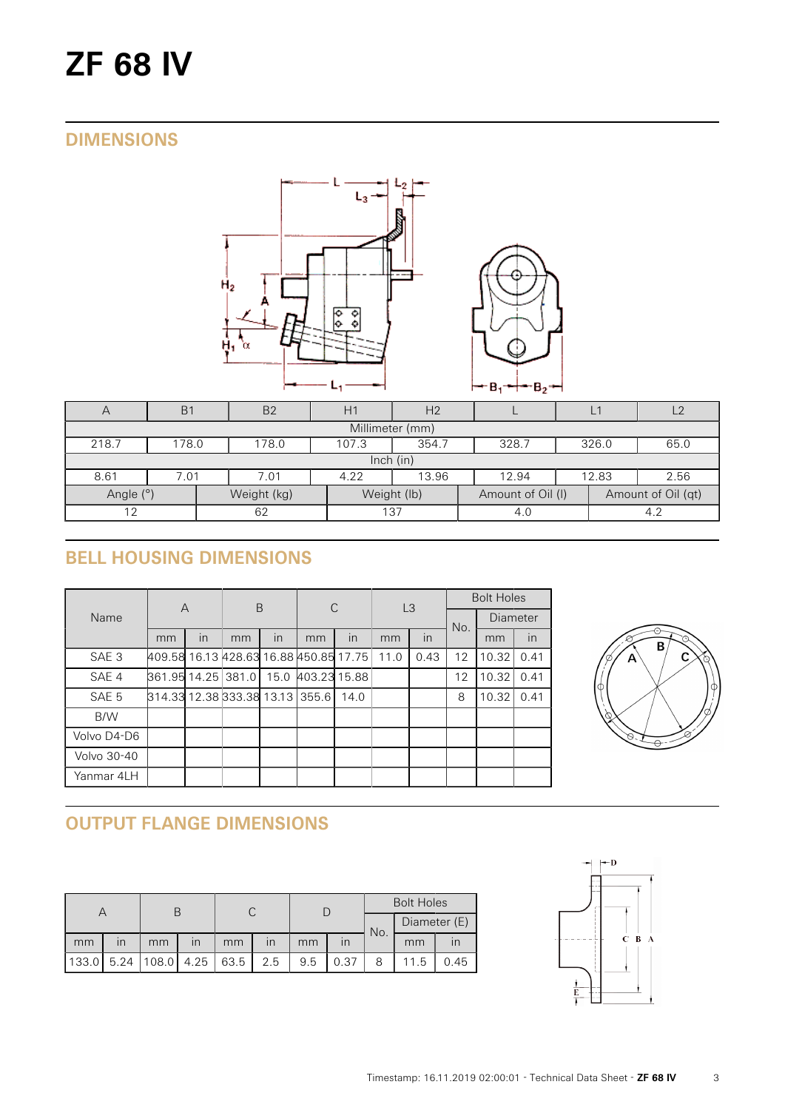# **ZF 68 IV**

## **DIMENSIONS**



| A               | B <sub>1</sub>                                             | B <sub>2</sub>                                  | H1 | H <sub>2</sub> |                   |  |                    | $\sqrt{2}$ |  |  |  |
|-----------------|------------------------------------------------------------|-------------------------------------------------|----|----------------|-------------------|--|--------------------|------------|--|--|--|
| Millimeter (mm) |                                                            |                                                 |    |                |                   |  |                    |            |  |  |  |
| 218.7           | 107.3<br>354.7<br>326.0<br>65.0<br>178.0<br>328.7<br>178.0 |                                                 |    |                |                   |  |                    |            |  |  |  |
| lnch (in)       |                                                            |                                                 |    |                |                   |  |                    |            |  |  |  |
| 8.61            | 7.01                                                       | 2.56<br>4.22<br>13.96<br>12.83<br>7.01<br>12.94 |    |                |                   |  |                    |            |  |  |  |
| Angle (°)       |                                                            | Weight (kg)                                     |    | Weight (lb)    | Amount of Oil (I) |  | Amount of Oil (qt) |            |  |  |  |
| 12              |                                                            | 62                                              |    | 137            | 4.0               |  |                    |            |  |  |  |

# **BELL HOUSING DIMENSIONS**

|                  | $\overline{A}$                         |    | B  |                         | С            |              | L <sub>3</sub> |      | <b>Bolt Holes</b> |          |      |
|------------------|----------------------------------------|----|----|-------------------------|--------------|--------------|----------------|------|-------------------|----------|------|
| Name             |                                        |    |    |                         |              |              |                |      | No.               | Diameter |      |
|                  | mm                                     | in | mm | $\overline{\mathsf{I}}$ | mm           | $\mathsf{I}$ | in<br>mm       | mm   | in                |          |      |
| SAE <sub>3</sub> | 409.58 16.13 428.63 16.88 450.85 17.75 |    |    |                         |              |              | 11.0           | 0.43 | 12                | 10.32    | 0.41 |
| SAE 4            | 861.95 14.25 381.0                     |    |    | 15.0                    | 403.23 15.88 |              |                |      | 12                | 10.32    | 0.41 |
| SAE 5            | 814.33 12.38 333.38 13.13 355.6        |    |    |                         |              | 14.0         |                |      | 8                 | 10.32    | 0.41 |
| B/W              |                                        |    |    |                         |              |              |                |      |                   |          |      |
| Volvo D4-D6      |                                        |    |    |                         |              |              |                |      |                   |          |      |
| Volvo 30-40      |                                        |    |    |                         |              |              |                |      |                   |          |      |
| Yanmar 4LH       |                                        |    |    |                         |              |              |                |      |                   |          |      |



# **OUTPUT FLANGE DIMENSIONS**

|       |                         |            |                         |      |                         |     |      | <b>Bolt Holes</b> |      |      |              |  |
|-------|-------------------------|------------|-------------------------|------|-------------------------|-----|------|-------------------|------|------|--------------|--|
|       |                         |            |                         |      |                         |     |      |                   |      | No.  | Diameter (E) |  |
| mm    | $\overline{\mathsf{I}}$ | mm         | $\overline{\mathsf{I}}$ | mm   | $\overline{\mathsf{I}}$ | mm  |      |                   | mm   |      |              |  |
| 133.0 | 5.24                    | 108.0 4.25 |                         | 63.5 | 2.5                     | 9.5 | 0.37 |                   | 11.5 | 0.45 |              |  |